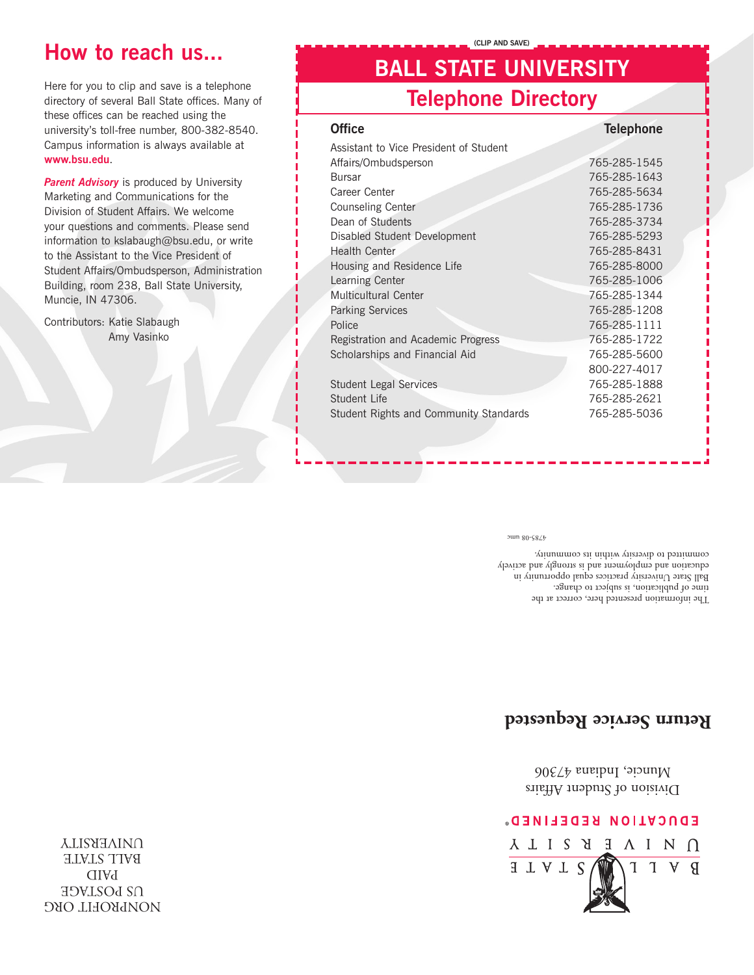NONPROFIT ORG **DRIMGE** PAID BALL STATE **UNIVERSITY** 



Division of Student Affairs Muncie, Indiana 47306

### **Return Service Requested**

The information presented here, correct at the time of publication, is subject to change. Ball State  $\rm Univerary$  practices equal opportunity in education and employment and is strongly and actively committed to diversity within its community.

4785-08 umc

| <b>Telephone Directory</b>             |                  |
|----------------------------------------|------------------|
| <b>Office</b>                          | <b>Telephone</b> |
| Assistant to Vice President of Student |                  |
| Affairs/Ombudsperson                   | 765-285-1545     |
| <b>Bursar</b>                          | 765-285-1643     |
| Career Center                          | 765-285-5634     |
| <b>Counseling Center</b>               | 765-285-1736     |
| Dean of Students                       | 765-285-3734     |
| Disabled Student Development           | 765-285-5293     |
| Health Center                          | 765-285-8431     |
| Housing and Residence Life             | 765-285-8000     |
| Learning Center                        | 765-285-1006     |
| Multicultural Center                   | 765-285-1344     |
| <b>Parking Services</b>                | 765-285-1208     |
| Police                                 | 765-285-1111     |
| Registration and Academic Progress     | 765-285-1722     |
| Scholarships and Financial Aid         | 765-285-5600     |
|                                        | 800-227-4017     |
| <b>Student Legal Services</b>          | 765-285-1888     |
| Student Life                           | 765-285-2621     |
| Student Rights and Community Standards | 765-285-5036     |
|                                        |                  |

**BALL STATE UNIVERSITY**

**(CLIP AND SAVE)**

**Parent Advisory** is produced by University Marketing and Communications for the Division of Student Affairs. We welcome your questions and comments. Please send information to kslabaugh@bsu.edu, or write to the Assistant to the Vice President of Student Affairs/Ombudsperson, Administration Building, room 238, Ball State University,

Muncie, IN 47306.

Contributors: Katie Slabaugh

Amy Vasinko

Here for you to clip and save is a telephone directory of several Ball State offices. Many of these offices can be reached using the university's toll-free number, 800-382-8540. Campus information is always available at **www.bsu.edu**.

# **How to reach us...**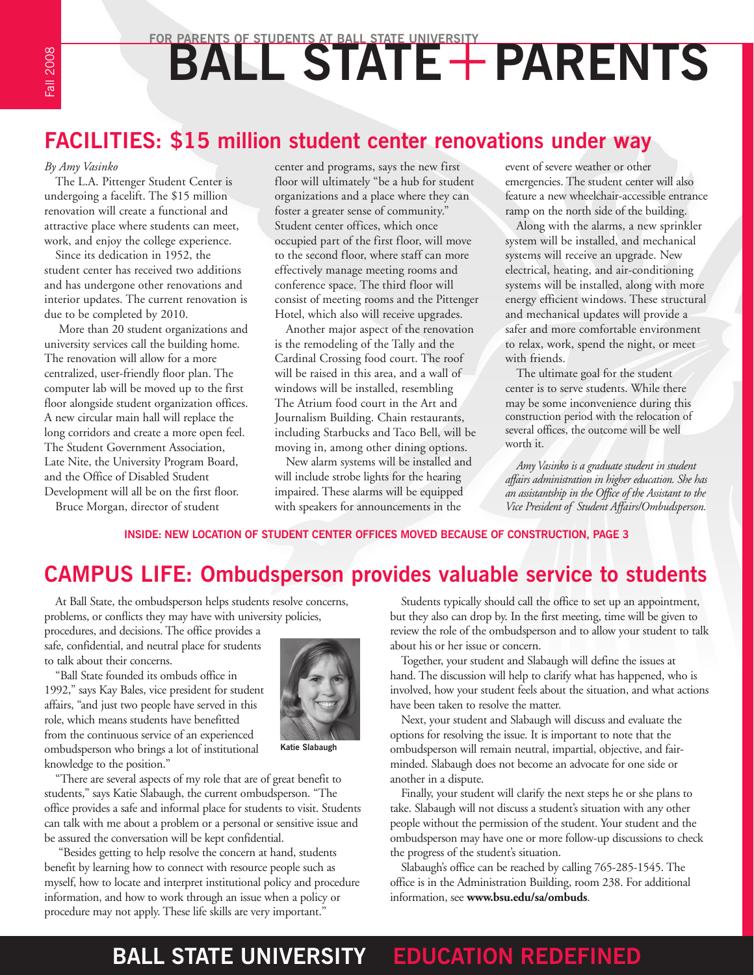# FOR PARENTS OF STUDENTS AT BALL STATE UNIVERSITY<br> **BALL STATE + PARENTS**

### **FACILITIES: \$15 million student center renovations under way**

#### *By Amy Vasinko*

The L.A. Pittenger Student Center is undergoing a facelift. The \$15 million renovation will create a functional and attractive place where students can meet, work, and enjoy the college experience.

Since its dedication in 1952, the student center has received two additions and has undergone other renovations and interior updates. The current renovation is due to be completed by 2010.

 More than 20 student organizations and university services call the building home. The renovation will allow for a more centralized, user-friendly floor plan. The computer lab will be moved up to the first floor alongside student organization offices. A new circular main hall will replace the long corridors and create a more open feel. The Student Government Association, Late Nite, the University Program Board, and the Office of Disabled Student Development will all be on the first floor. Bruce Morgan, director of student

center and programs, says the new first floor will ultimately "be a hub for student organizations and a place where they can foster a greater sense of community." Student center offices, which once occupied part of the first floor, will move to the second floor, where staff can more effectively manage meeting rooms and conference space. The third floor will consist of meeting rooms and the Pittenger Hotel, which also will receive upgrades.

Another major aspect of the renovation is the remodeling of the Tally and the Cardinal Crossing food court. The roof will be raised in this area, and a wall of windows will be installed, resembling The Atrium food court in the Art and Journalism Building. Chain restaurants, including Starbucks and Taco Bell, will be moving in, among other dining options.

New alarm systems will be installed and will include strobe lights for the hearing impaired. These alarms will be equipped with speakers for announcements in the

event of severe weather or other emergencies. The student center will also feature a new wheelchair-accessible entrance ramp on the north side of the building.

Along with the alarms, a new sprinkler system will be installed, and mechanical systems will receive an upgrade. New electrical, heating, and air-conditioning systems will be installed, along with more energy efficient windows. These structural and mechanical updates will provide a safer and more comfortable environment to relax, work, spend the night, or meet with friends.

The ultimate goal for the student center is to serve students. While there may be some inconvenience during this construction period with the relocation of several offices, the outcome will be well worth it.

*Amy Vasinko is a graduate student in student affairs administration in higher education. She has an assistantship in the Office of the Assistant to the Vice President of Student Affairs/Ombudsperson.*

**INSIDE: NEW LOCATION OF STUDENT CENTER OFFICES MOVED BECAUSE OF CONSTRUCTION, PAGE 3**

### **CAMPUS LIFE: Ombudsperson provides valuable service to students**

At Ball State, the ombudsperson helps students resolve concerns, problems, or conflicts they may have with university policies,

procedures, and decisions. The office provides a safe, confidential, and neutral place for students to talk about their concerns.

"Ball State founded its ombuds office in 1992," says Kay Bales, vice president for student affairs, "and just two people have served in this role, which means students have benefitted from the continuous service of an experienced ombudsperson who brings a lot of institutional knowledge to the position."



**Katie Slabaugh**

"There are several aspects of my role that are of great benefit to students," says Katie Slabaugh, the current ombudsperson. "The office provides a safe and informal place for students to visit. Students can talk with me about a problem or a personal or sensitive issue and be assured the conversation will be kept confidential.

 "Besides getting to help resolve the concern at hand, students benefit by learning how to connect with resource people such as myself, how to locate and interpret institutional policy and procedure information, and how to work through an issue when a policy or procedure may not apply. These life skills are very important."

Students typically should call the office to set up an appointment, but they also can drop by. In the first meeting, time will be given to review the role of the ombudsperson and to allow your student to talk about his or her issue or concern.

Together, your student and Slabaugh will define the issues at hand. The discussion will help to clarify what has happened, who is involved, how your student feels about the situation, and what actions have been taken to resolve the matter.

Next, your student and Slabaugh will discuss and evaluate the options for resolving the issue. It is important to note that the ombudsperson will remain neutral, impartial, objective, and fairminded. Slabaugh does not become an advocate for one side or another in a dispute.

Finally, your student will clarify the next steps he or she plans to take. Slabaugh will not discuss a student's situation with any other people without the permission of the student. Your student and the ombudsperson may have one or more follow-up discussions to check the progress of the student's situation.

Slabaugh's office can be reached by calling 765-285-1545. The office is in the Administration Building, room 238. For additional information, see **www.bsu.edu/sa/ombuds**.

# **BALL STATE UNIVERSITY EDUCATION REDEFINED**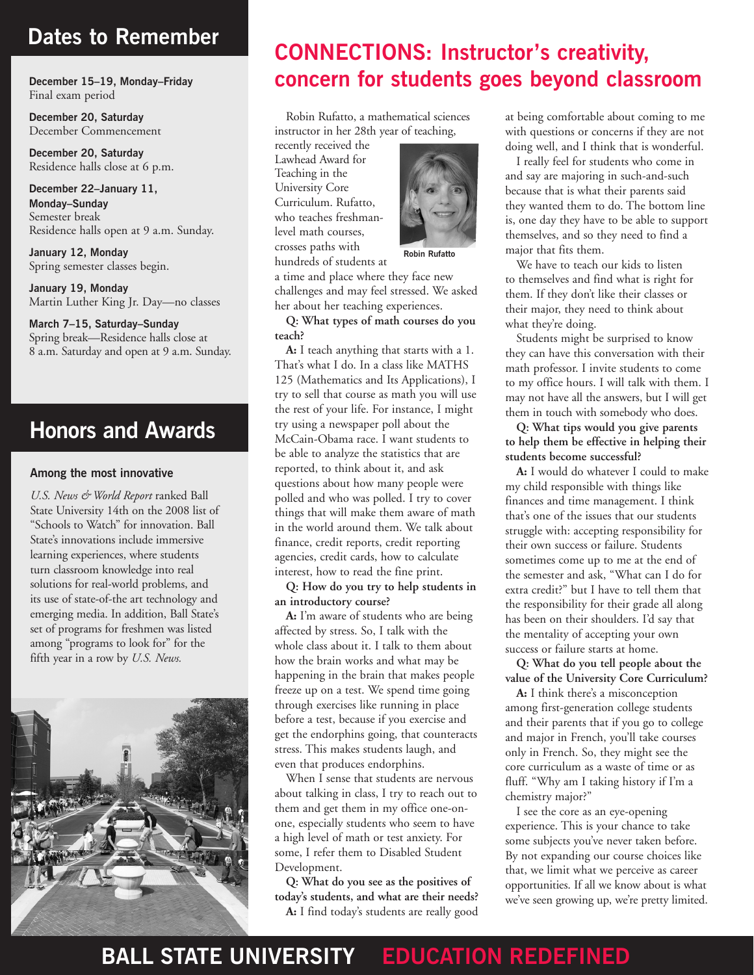### **Dates to Remember**

**December 15–19, Monday–Friday** Final exam period

**December 20, Saturday** December Commencement

**December 20, Saturday** Residence halls close at 6 p.m.

**December 22–January 11, Monday–Sunday**  Semester break Residence halls open at 9 a.m. Sunday.

**January 12, Monday**  Spring semester classes begin.

**January 19, Monday** Martin Luther King Jr. Day—no classes

**March 7–15, Saturday–Sunday** Spring break—Residence halls close at 8 a.m. Saturday and open at 9 a.m. Sunday.

### **Honors and Awards**

#### **Among the most innovative**

*U.S. News & World Report* ranked Ball State University 14th on the 2008 list of "Schools to Watch" for innovation. Ball State's innovations include immersive learning experiences, where students turn classroom knowledge into real solutions for real-world problems, and its use of state-of-the art technology and emerging media. In addition, Ball State's set of programs for freshmen was listed among "programs to look for" for the fifth year in a row by *U.S. News.*



### **CONNECTIONS: Instructor's creativity, concern for students goes beyond classroom**

Robin Rufatto, a mathematical sciences instructor in her 28th year of teaching,

recently received the Lawhead Award for Teaching in the University Core Curriculum. Rufatto, who teaches freshmanlevel math courses, crosses paths with hundreds of students at



 **Robin Rufatto**

a time and place where they face new challenges and may feel stressed. We asked her about her teaching experiences.

**Q: What types of math courses do you teach?**

**A:** I teach anything that starts with a 1. That's what I do. In a class like MATHS 125 (Mathematics and Its Applications), I try to sell that course as math you will use the rest of your life. For instance, I might try using a newspaper poll about the McCain-Obama race. I want students to be able to analyze the statistics that are reported, to think about it, and ask questions about how many people were polled and who was polled. I try to cover things that will make them aware of math in the world around them. We talk about finance, credit reports, credit reporting agencies, credit cards, how to calculate interest, how to read the fine print.

**Q: How do you try to help students in an introductory course?**

**A:** I'm aware of students who are being affected by stress. So, I talk with the whole class about it. I talk to them about how the brain works and what may be happening in the brain that makes people freeze up on a test. We spend time going through exercises like running in place before a test, because if you exercise and get the endorphins going, that counteracts stress. This makes students laugh, and even that produces endorphins.

When I sense that students are nervous about talking in class, I try to reach out to them and get them in my office one-onone, especially students who seem to have a high level of math or test anxiety. For some, I refer them to Disabled Student Development.

**Q: What do you see as the positives of today's students, and what are their needs? A:** I find today's students are really good

at being comfortable about coming to me with questions or concerns if they are not doing well, and I think that is wonderful.

I really feel for students who come in and say are majoring in such-and-such because that is what their parents said they wanted them to do. The bottom line is, one day they have to be able to support themselves, and so they need to find a major that fits them.

We have to teach our kids to listen to themselves and find what is right for them. If they don't like their classes or their major, they need to think about what they're doing.

Students might be surprised to know they can have this conversation with their math professor. I invite students to come to my office hours. I will talk with them. I may not have all the answers, but I will get them in touch with somebody who does.

**Q: What tips would you give parents to help them be effective in helping their students become successful?** 

**A:** I would do whatever I could to make my child responsible with things like finances and time management. I think that's one of the issues that our students struggle with: accepting responsibility for their own success or failure. Students sometimes come up to me at the end of the semester and ask, "What can I do for extra credit?" but I have to tell them that the responsibility for their grade all along has been on their shoulders. I'd say that the mentality of accepting your own success or failure starts at home.

**Q: What do you tell people about the value of the University Core Curriculum?**

**A:** I think there's a misconception among first-generation college students and their parents that if you go to college and major in French, you'll take courses only in French. So, they might see the core curriculum as a waste of time or as fluff. "Why am I taking history if I'm a chemistry major?"

I see the core as an eye-opening experience. This is your chance to take some subjects you've never taken before. By not expanding our course choices like that, we limit what we perceive as career opportunities. If all we know about is what we've seen growing up, we're pretty limited.